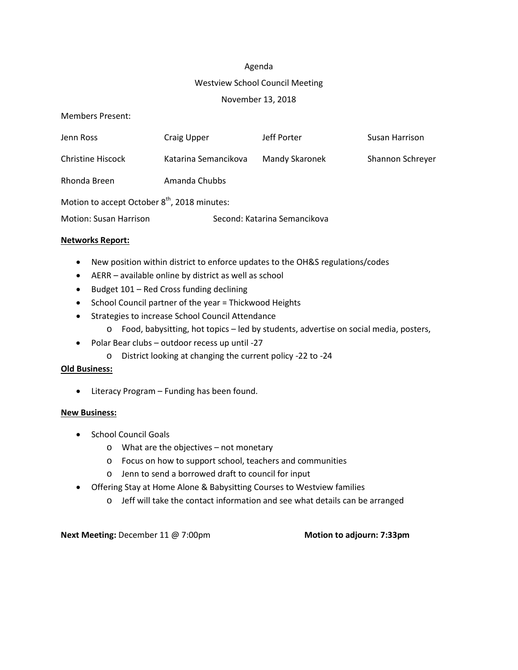#### Agenda

#### Westview School Council Meeting

#### November 13, 2018

Members Present:

| Jenn Ross                                                | Craig Upper                  | Jeff Porter    | Susan Harrison   |  |  |  |
|----------------------------------------------------------|------------------------------|----------------|------------------|--|--|--|
| Christine Hiscock                                        | Katarina Semancikova         | Mandy Skaronek | Shannon Schreyer |  |  |  |
| Rhonda Breen                                             | Amanda Chubbs                |                |                  |  |  |  |
| Motion to accept October 8 <sup>th</sup> , 2018 minutes: |                              |                |                  |  |  |  |
| <b>Motion: Susan Harrison</b>                            | Second: Katarina Semancikova |                |                  |  |  |  |

## **Networks Report:**

- New position within district to enforce updates to the OH&S regulations/codes
- AERR available online by district as well as school
- Budget 101 Red Cross funding declining
- School Council partner of the year = Thickwood Heights
- Strategies to increase School Council Attendance
	- o Food, babysitting, hot topics led by students, advertise on social media, posters,
- Polar Bear clubs outdoor recess up until -27
	- o District looking at changing the current policy -22 to -24

## **Old Business:**

• Literacy Program – Funding has been found.

## **New Business:**

- School Council Goals
	- o What are the objectives not monetary
	- o Focus on how to support school, teachers and communities
	- o Jenn to send a borrowed draft to council for input
- Offering Stay at Home Alone & Babysitting Courses to Westview families
	- o Jeff will take the contact information and see what details can be arranged

**Next Meeting:** December 11 @ 7:00pm **Motion Motion** to adjourn: 7:33pm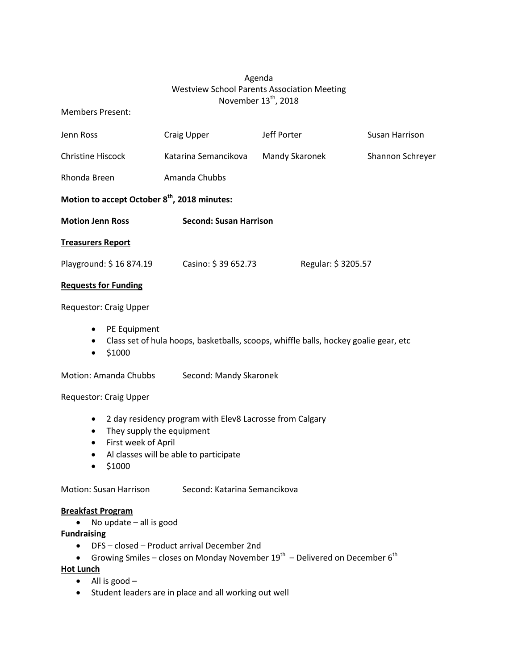# Agenda Westview School Parents Association Meeting November 13<sup>th</sup>, 2018

## Members Present:

| Jenn Ross                                                | Craig Upper                   | Jeff Porter        | Susan Harrison   |  |  |
|----------------------------------------------------------|-------------------------------|--------------------|------------------|--|--|
| <b>Christine Hiscock</b>                                 | Katarina Semancikova          | Mandy Skaronek     | Shannon Schreyer |  |  |
| Rhonda Breen                                             | Amanda Chubbs                 |                    |                  |  |  |
| Motion to accept October 8 <sup>th</sup> , 2018 minutes: |                               |                    |                  |  |  |
| <b>Motion Jenn Ross</b>                                  | <b>Second: Susan Harrison</b> |                    |                  |  |  |
| <b>Treasurers Report</b>                                 |                               |                    |                  |  |  |
| Playground: \$16 874.19                                  | Casino: \$39 652.73           | Regular: \$3205.57 |                  |  |  |
| <b>Requests for Funding</b>                              |                               |                    |                  |  |  |
| <b>Requestor: Craig Upper</b>                            |                               |                    |                  |  |  |
| PE Equipment<br>٠                                        |                               |                    |                  |  |  |

- Class set of hula hoops, basketballs, scoops, whiffle balls, hockey goalie gear, etc
- $•$  \$1000

Motion: Amanda Chubbs Second: Mandy Skaronek

#### Requestor: Craig Upper

- 2 day residency program with Elev8 Lacrosse from Calgary
- They supply the equipment
- First week of April
- Al classes will be able to participate
- \$1000

Motion: Susan Harrison Second: Katarina Semancikova

#### **Breakfast Program**

• No update – all is good

## **Fundraising**

- DFS closed Product arrival December 2nd
- Growing Smiles closes on Monday November  $19^{th}$  Delivered on December  $6^{th}$

# **Hot Lunch**

- All is good –
- Student leaders are in place and all working out well